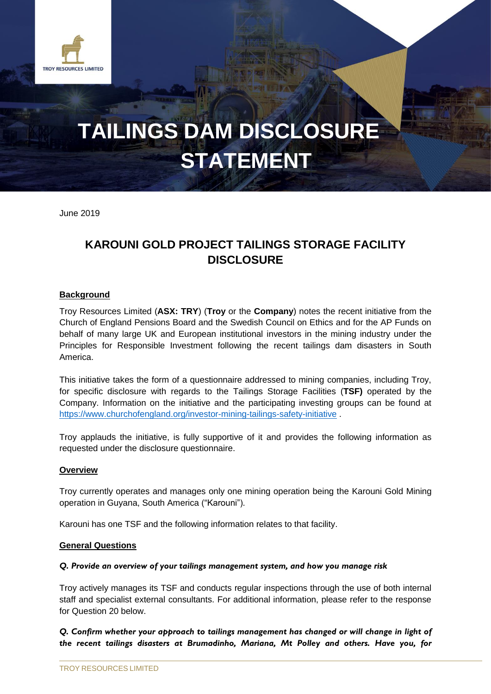

# **TAILINGS DAM DISCLOSURE STATEMENT**

June 2019

# **KAROUNI GOLD PROJECT TAILINGS STORAGE FACILITY DISCLOSURE**

#### **Background**

Troy Resources Limited (**ASX: TRY**) (**Troy** or the **Company**) notes the recent initiative from the Church of England Pensions Board and the Swedish Council on Ethics and for the AP Funds on behalf of many large UK and European institutional investors in the mining industry under the Principles for Responsible Investment following the recent tailings dam disasters in South America.

This initiative takes the form of a questionnaire addressed to mining companies, including Troy, for specific disclosure with regards to the Tailings Storage Facilities (**TSF)** operated by the Company. Information on the initiative and the participating investing groups can be found at <https://www.churchofengland.org/investor-mining-tailings-safety-initiative> .

Troy applauds the initiative, is fully supportive of it and provides the following information as requested under the disclosure questionnaire.

#### **Overview**

Troy currently operates and manages only one mining operation being the Karouni Gold Mining operation in Guyana, South America ("Karouni").

Karouni has one TSF and the following information relates to that facility.

#### **General Questions**

#### *Q. Provide an overview of your tailings management system, and how you manage risk*

Troy actively manages its TSF and conducts regular inspections through the use of both internal staff and specialist external consultants. For additional information, please refer to the response for Question 20 below.

*Q. Confirm whether your approach to tailings management has changed or will change in light of the recent tailings disasters at Brumadinho, Mariana, Mt Polley and others. Have you, for*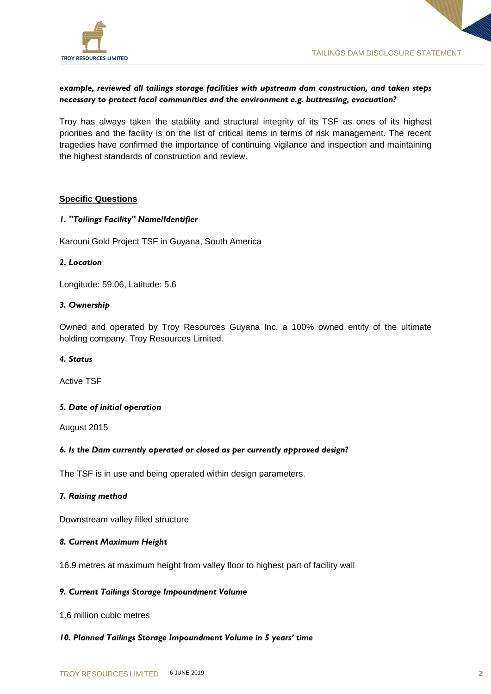

## *example, reviewed all tailings storage facilities with upstream dam construction, and taken steps necessary to protect local communities and the environment e.g. buttressing, evacuation?*

Troy has always taken the stability and structural integrity of its TSF as ones of its highest priorities and the facility is on the list of critical items in terms of risk management. The recent tragedies have confirmed the importance of continuing vigilance and inspection and maintaining the highest standards of construction and review.

#### **Specific Questions**

#### *1. "Tailings Facility" Name/Identifier*

Karouni Gold Project TSF in Guyana, South America

#### *2. Location*

Longitude: 59.06, Latitude: 5.6

#### *3. Ownership*

Owned and operated by Troy Resources Guyana Inc, a 100% owned entity of the ultimate holding company, Troy Resources Limited.

#### *4. Status*

Active TSF

#### *5. Date of initial operation*

August 2015

#### *6. Is the Dam currently operated or closed as per currently approved design?*

The TSF is in use and being operated within design parameters.

#### *7. Raising method*

Downstream valley filled structure

#### *8. Current Maximum Height*

16.9 metres at maximum height from valley floor to highest part of facility wall

#### *9. Current Tailings Storage Impoundment Volume*

1.6 million cubic metres

#### *10. Planned Tailings Storage Impoundment Volume in 5 years' time*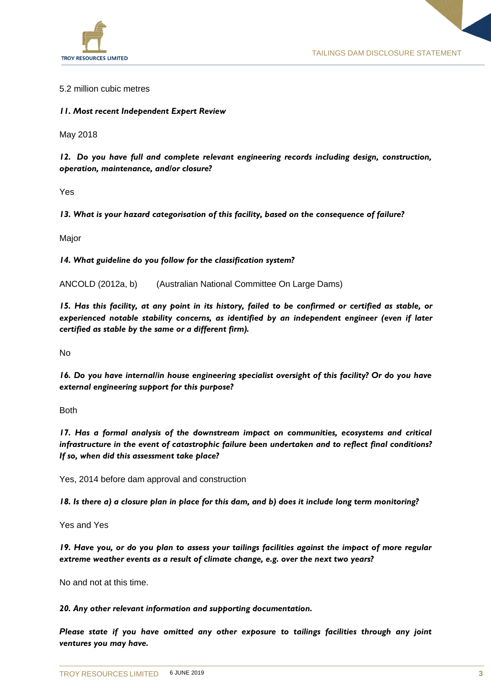

#### 5.2 million cubic metres

*11. Most recent Independent Expert Review*

May 2018

*12. Do you have full and complete relevant engineering records including design, construction, operation, maintenance, and/or closure?*

Yes

*13. What is your hazard categorisation of this facility, based on the consequence of failure?*

Major

*14. What guideline do you follow for the classification system?*

ANCOLD (2012a, b) (Australian National Committee On Large Dams)

*15. Has this facility, at any point in its history, failed to be confirmed or certified as stable, or experienced notable stability concerns, as identified by an independent engineer (even if later certified as stable by the same or a different firm).*

No

*16. Do you have internal/in house engineering specialist oversight of this facility? Or do you have external engineering support for this purpose?*

Both

*17. Has a formal analysis of the downstream impact on communities, ecosystems and critical infrastructure in the event of catastrophic failure been undertaken and to reflect final conditions? If so, when did this assessment take place?*

Yes, 2014 before dam approval and construction

*18. Is there a) a closure plan in place for this dam, and b) does it include long term monitoring?*

Yes and Yes

*19. Have you, or do you plan to assess your tailings facilities against the impact of more regular extreme weather events as a result of climate change, e.g. over the next two years?*

No and not at this time.

*20. Any other relevant information and supporting documentation.*

*Please state if you have omitted any other exposure to tailings facilities through any joint ventures you may have.*